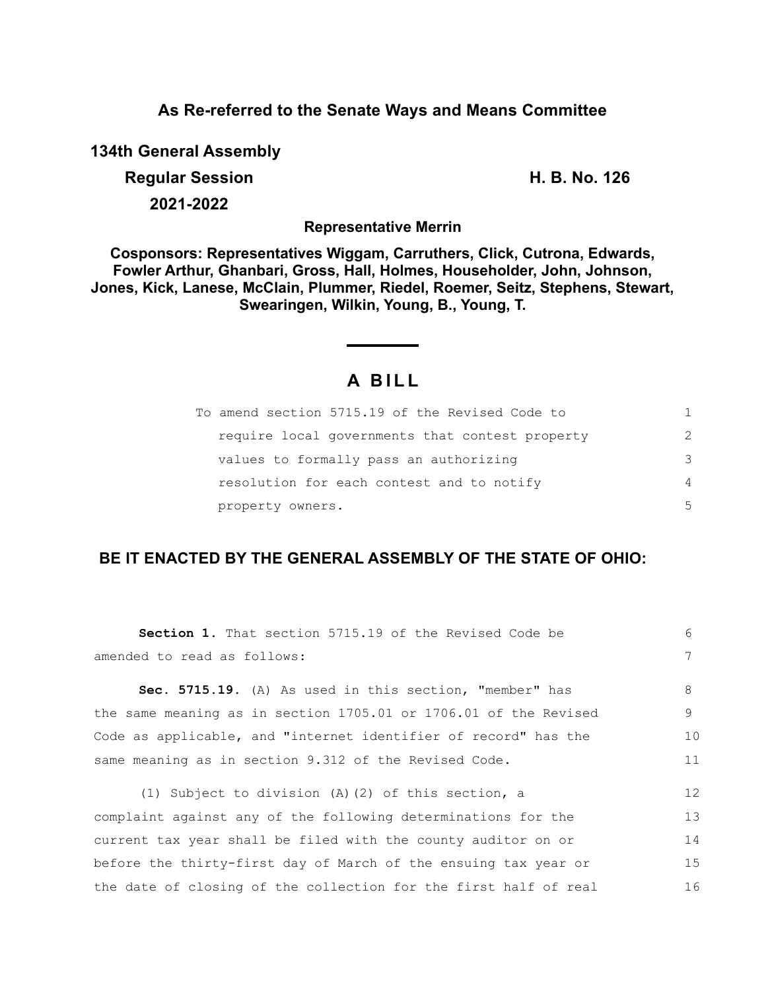## **As Re-referred to the Senate Ways and Means Committee**

**134th General Assembly**

**Regular Session H. B. No. 126**

**2021-2022**

**Representative Merrin**

**Cosponsors: Representatives Wiggam, Carruthers, Click, Cutrona, Edwards, Fowler Arthur, Ghanbari, Gross, Hall, Holmes, Householder, John, Johnson, Jones, Kick, Lanese, McClain, Plummer, Riedel, Roemer, Seitz, Stephens, Stewart, Swearingen, Wilkin, Young, B., Young, T.**

# **A B I L L**

| To amend section 5715.19 of the Revised Code to | 1.            |
|-------------------------------------------------|---------------|
| require local governments that contest property | $\mathcal{P}$ |
| values to formally pass an authorizing          | 3             |
| resolution for each contest and to notify       | 4             |
| property owners.                                | 5             |

## **BE IT ENACTED BY THE GENERAL ASSEMBLY OF THE STATE OF OHIO:**

| <b>Section 1.</b> That section 5715.19 of the Revised Code be    | 6  |
|------------------------------------------------------------------|----|
| amended to read as follows:                                      | 7  |
| Sec. 5715.19. (A) As used in this section, "member" has          | 8  |
| the same meaning as in section 1705.01 or 1706.01 of the Revised | 9  |
| Code as applicable, and "internet identifier of record" has the  | 10 |
| same meaning as in section 9.312 of the Revised Code.            | 11 |
| (1) Subject to division $(A)$ (2) of this section, a             | 12 |
| complaint against any of the following determinations for the    | 13 |
| current tax year shall be filed with the county auditor on or    | 14 |
| before the thirty-first day of March of the ensuing tax year or  | 15 |
| the date of closing of the collection for the first half of real | 16 |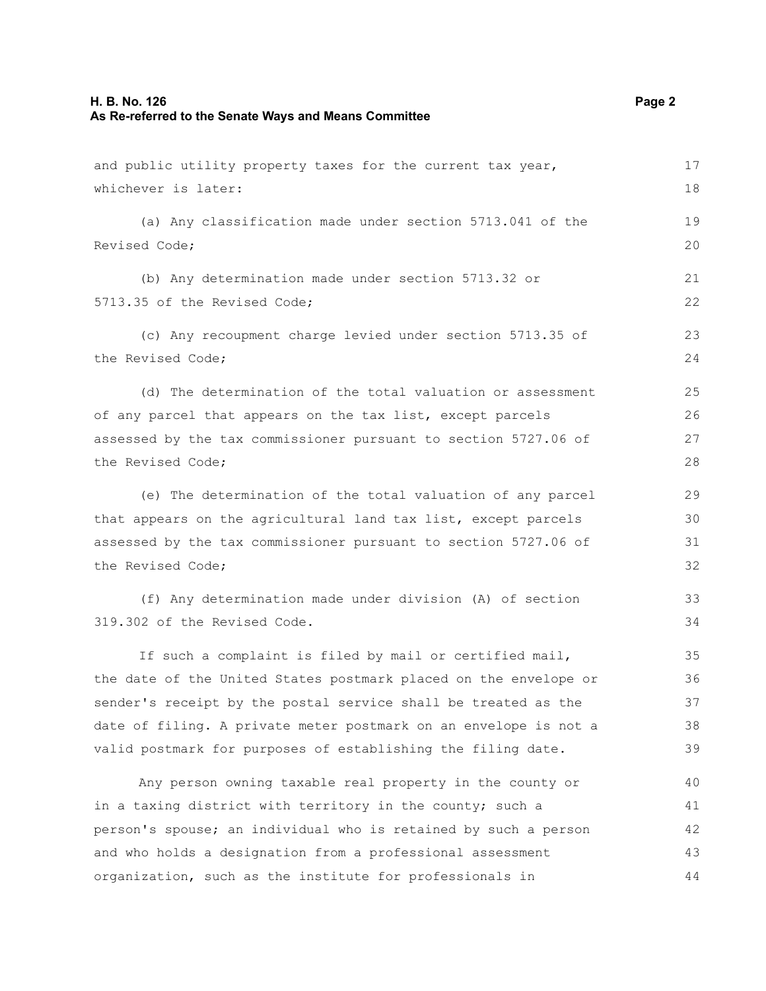## **H. B. No. 126 Page 2 As Re-referred to the Senate Ways and Means Committee**

| and public utility property taxes for the current tax year,      | 17 |
|------------------------------------------------------------------|----|
| whichever is later:                                              | 18 |
| (a) Any classification made under section 5713.041 of the        | 19 |
| Revised Code;                                                    |    |
| (b) Any determination made under section 5713.32 or              | 21 |
| 5713.35 of the Revised Code;                                     | 22 |
| (c) Any recoupment charge levied under section 5713.35 of        | 23 |
| the Revised Code;                                                | 24 |
| (d) The determination of the total valuation or assessment       | 25 |
| of any parcel that appears on the tax list, except parcels       | 26 |
| assessed by the tax commissioner pursuant to section 5727.06 of  | 27 |
| the Revised Code;                                                | 28 |
| (e) The determination of the total valuation of any parcel       | 29 |
| that appears on the agricultural land tax list, except parcels   | 30 |
| assessed by the tax commissioner pursuant to section 5727.06 of  | 31 |
| the Revised Code;                                                | 32 |
| (f) Any determination made under division (A) of section         | 33 |
| 319.302 of the Revised Code.                                     | 34 |
| If such a complaint is filed by mail or certified mail,          | 35 |
| the date of the United States postmark placed on the envelope or | 36 |
| sender's receipt by the postal service shall be treated as the   | 37 |
| date of filing. A private meter postmark on an envelope is not a | 38 |
| valid postmark for purposes of establishing the filing date.     | 39 |
| Any person owning taxable real property in the county or         | 40 |
| in a taxing district with territory in the county; such a        | 41 |
| person's spouse; an individual who is retained by such a person  | 42 |
| and who holds a designation from a professional assessment       | 43 |
| organization, such as the institute for professionals in         | 44 |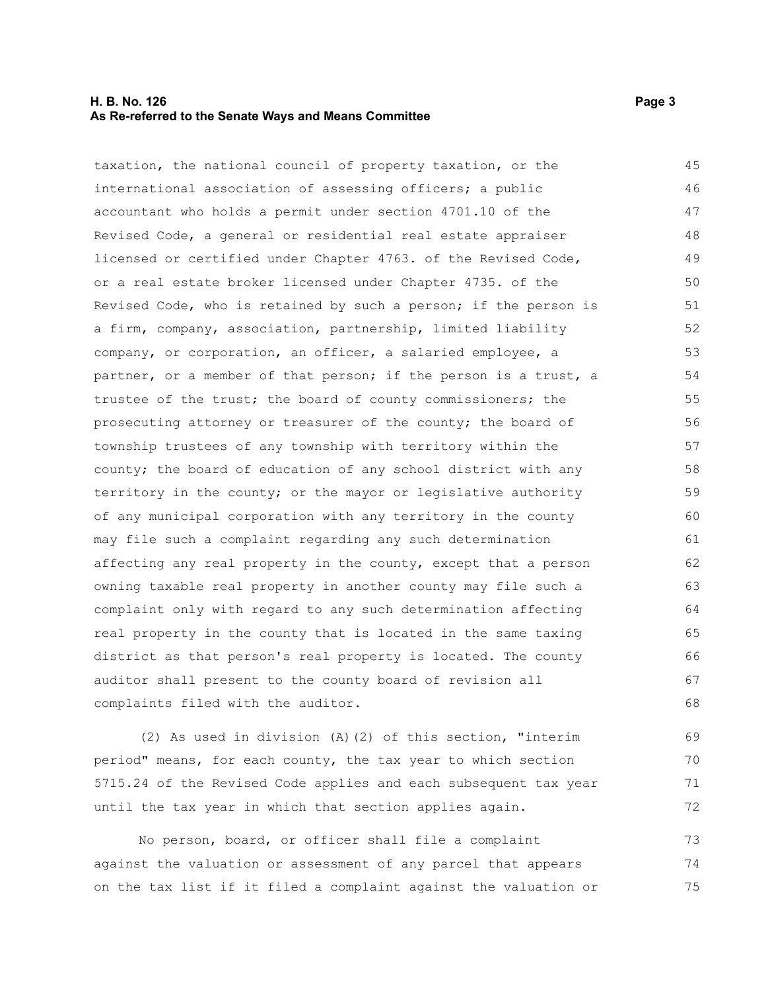#### **H. B. No. 126** Page 3 **As Re-referred to the Senate Ways and Means Committee**

taxation, the national council of property taxation, or the international association of assessing officers; a public accountant who holds a permit under section 4701.10 of the Revised Code, a general or residential real estate appraiser licensed or certified under Chapter 4763. of the Revised Code, or a real estate broker licensed under Chapter 4735. of the Revised Code, who is retained by such a person; if the person is a firm, company, association, partnership, limited liability company, or corporation, an officer, a salaried employee, a partner, or a member of that person; if the person is a trust, a trustee of the trust; the board of county commissioners; the prosecuting attorney or treasurer of the county; the board of township trustees of any township with territory within the county; the board of education of any school district with any territory in the county; or the mayor or legislative authority of any municipal corporation with any territory in the county may file such a complaint regarding any such determination affecting any real property in the county, except that a person owning taxable real property in another county may file such a complaint only with regard to any such determination affecting real property in the county that is located in the same taxing district as that person's real property is located. The county auditor shall present to the county board of revision all complaints filed with the auditor. 45 46 47 48 49 50 51 52 53 54 55 56 57 58 59 60 61 62 63 64 65 66 67 68

(2) As used in division (A)(2) of this section, "interim period" means, for each county, the tax year to which section 5715.24 of the Revised Code applies and each subsequent tax year until the tax year in which that section applies again. 69 70 71 72

No person, board, or officer shall file a complaint against the valuation or assessment of any parcel that appears on the tax list if it filed a complaint against the valuation or 73 74 75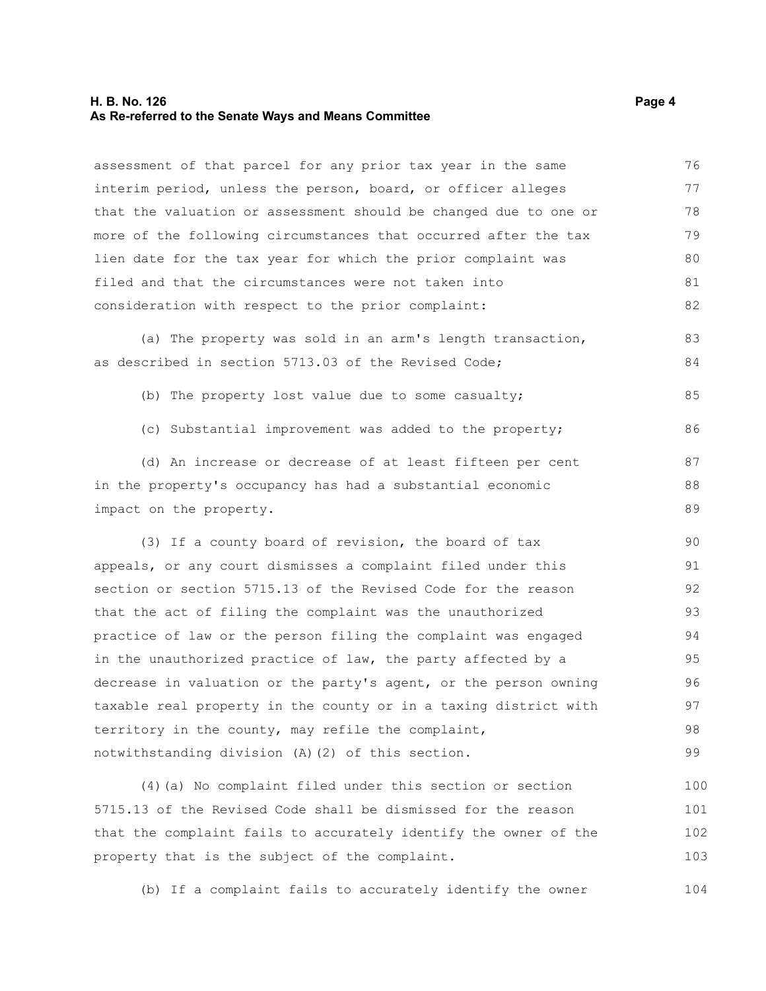#### **H. B. No. 126** Page 4 **As Re-referred to the Senate Ways and Means Committee**

assessment of that parcel for any prior tax year in the same interim period, unless the person, board, or officer alleges that the valuation or assessment should be changed due to one or more of the following circumstances that occurred after the tax lien date for the tax year for which the prior complaint was filed and that the circumstances were not taken into consideration with respect to the prior complaint: 76 77 78 79 80 81 82

(a) The property was sold in an arm's length transaction, as described in section 5713.03 of the Revised Code; 83 84

- (b) The property lost value due to some casualty;
- (c) Substantial improvement was added to the property;

(d) An increase or decrease of at least fifteen per cent in the property's occupancy has had a substantial economic impact on the property. 87 88 89

(3) If a county board of revision, the board of tax appeals, or any court dismisses a complaint filed under this section or section 5715.13 of the Revised Code for the reason that the act of filing the complaint was the unauthorized practice of law or the person filing the complaint was engaged in the unauthorized practice of law, the party affected by a decrease in valuation or the party's agent, or the person owning taxable real property in the county or in a taxing district with territory in the county, may refile the complaint, notwithstanding division (A)(2) of this section. 90 91 92 93 94 95 96 97 98 99

(4)(a) No complaint filed under this section or section 5715.13 of the Revised Code shall be dismissed for the reason that the complaint fails to accurately identify the owner of the property that is the subject of the complaint. 100 101 102 103

(b) If a complaint fails to accurately identify the owner 104

85

86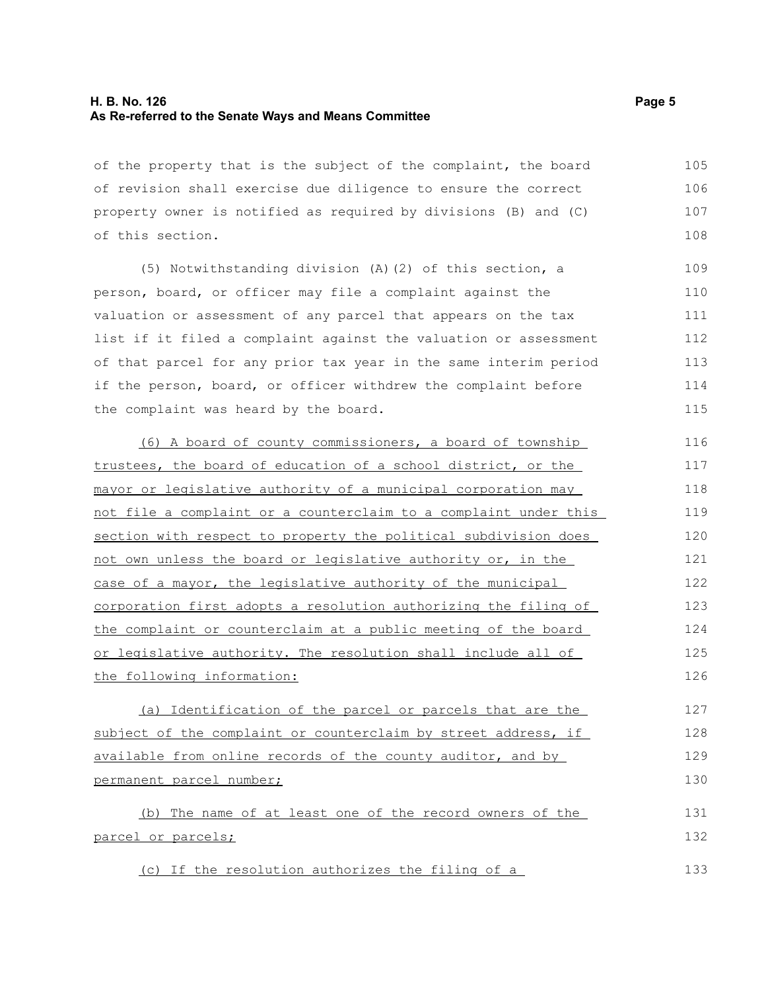#### **H. B. No. 126** Page 5 **As Re-referred to the Senate Ways and Means Committee**

of the property that is the subject of the complaint, the board of revision shall exercise due diligence to ensure the correct property owner is notified as required by divisions (B) and (C) of this section. 105 106 107 108

(5) Notwithstanding division (A)(2) of this section, a person, board, or officer may file a complaint against the valuation or assessment of any parcel that appears on the tax list if it filed a complaint against the valuation or assessment of that parcel for any prior tax year in the same interim period if the person, board, or officer withdrew the complaint before the complaint was heard by the board.

(6) A board of county commissioners, a board of township trustees, the board of education of a school district, or the mayor or legislative authority of a municipal corporation may not file a complaint or a counterclaim to a complaint under this section with respect to property the political subdivision does not own unless the board or legislative authority or, in the case of a mayor, the legislative authority of the municipal corporation first adopts a resolution authorizing the filing of the complaint or counterclaim at a public meeting of the board or legislative authority. The resolution shall include all of the following information: 116 117 118 119 120 121 122 123 124 125 126

(a) Identification of the parcel or parcels that are the subject of the complaint or counterclaim by street address, if available from online records of the county auditor, and by permanent parcel number; 127 128 129 130

(b) The name of at least one of the record owners of the parcel or parcels; 131 132

(c) If the resolution authorizes the filing of a

133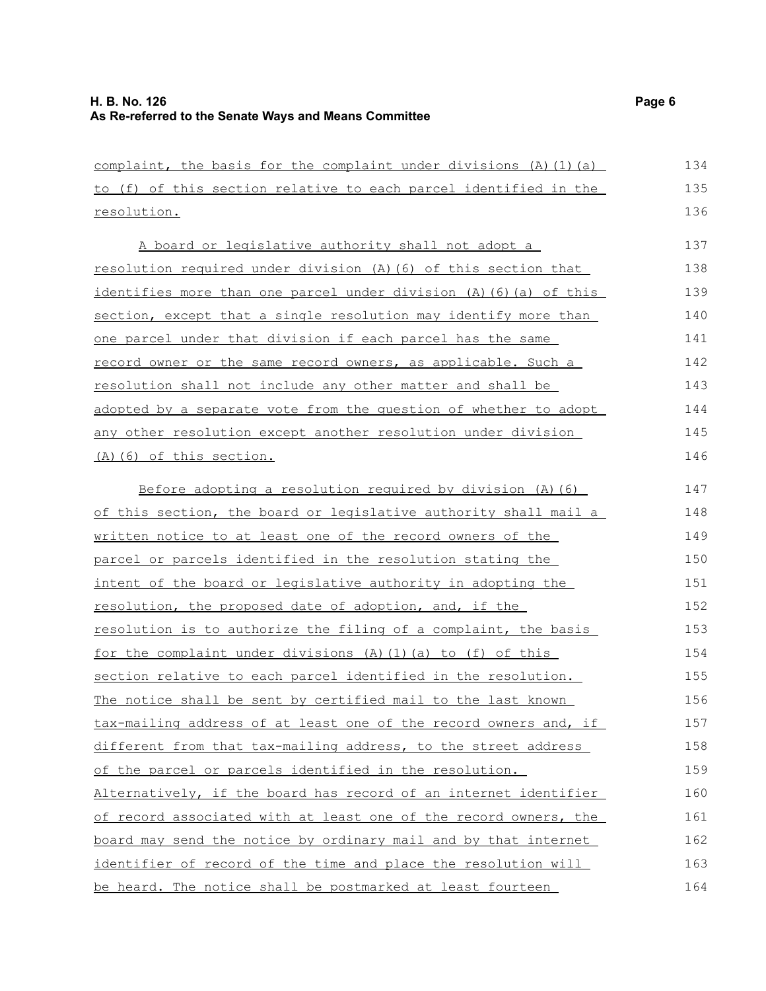complaint, the basis for the complaint under divisions  $(A)$   $(1)$   $(a)$ to (f) of this section relative to each parcel identified in the resolution. A board or legislative authority shall not adopt a resolution required under division (A)(6) of this section that identifies more than one parcel under division (A)(6)(a) of this section, except that a single resolution may identify more than one parcel under that division if each parcel has the same record owner or the same record owners, as applicable. Such a resolution shall not include any other matter and shall be adopted by a separate vote from the question of whether to adopt any other resolution except another resolution under division (A)(6) of this section. Before adopting a resolution required by division (A)(6) of this section, the board or legislative authority shall mail a written notice to at least one of the record owners of the parcel or parcels identified in the resolution stating the intent of the board or legislative authority in adopting the resolution, the proposed date of adoption, and, if the resolution is to authorize the filing of a complaint, the basis for the complaint under divisions (A)(1)(a) to (f) of this section relative to each parcel identified in the resolution. The notice shall be sent by certified mail to the last known tax-mailing address of at least one of the record owners and, if different from that tax-mailing address, to the street address of the parcel or parcels identified in the resolution. Alternatively, if the board has record of an internet identifier of record associated with at least one of the record owners, the board may send the notice by ordinary mail and by that internet identifier of record of the time and place the resolution will be heard. The notice shall be postmarked at least fourteen 134 135 136 137 138 139 140 141 142 143 144 145 146 147 148 149 150 151 152 153 154 155 156 157 158 159 160 161 162 163 164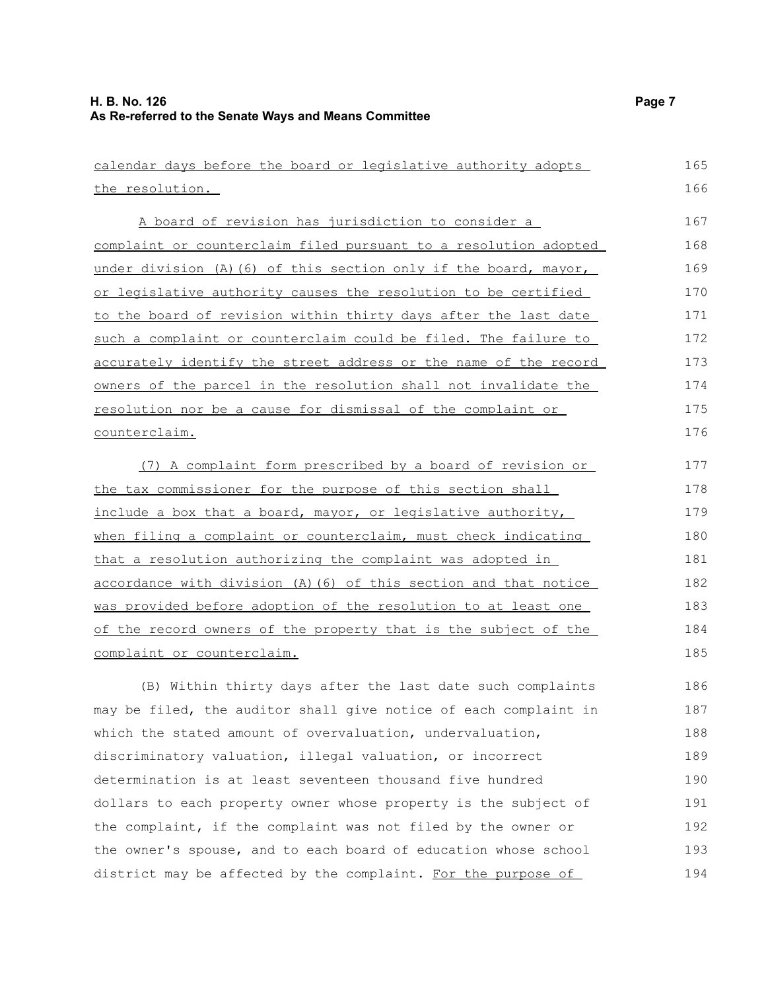| calendar days before the board or legislative authority adopts   | 165 |
|------------------------------------------------------------------|-----|
| the resolution.                                                  | 166 |
| A board of revision has jurisdiction to consider a               | 167 |
| complaint or counterclaim filed pursuant to a resolution adopted | 168 |
| under division (A) (6) of this section only if the board, mayor, | 169 |
| or legislative authority causes the resolution to be certified   | 170 |
| to the board of revision within thirty days after the last date  | 171 |
| such a complaint or counterclaim could be filed. The failure to  | 172 |
| accurately identify the street address or the name of the record | 173 |
| owners of the parcel in the resolution shall not invalidate the  | 174 |
| resolution nor be a cause for dismissal of the complaint or      | 175 |
| counterclaim.                                                    | 176 |
| (7) A complaint form prescribed by a board of revision or        | 177 |
| the tax commissioner for the purpose of this section shall       | 178 |
| include a box that a board, mayor, or legislative authority,     | 179 |
| when filing a complaint or counterclaim, must check indicating   | 180 |
| that a resolution authorizing the complaint was adopted in       | 181 |
| accordance with division (A) (6) of this section and that notice | 182 |
| was provided before adoption of the resolution to at least one   | 183 |
| of the record owners of the property that is the subject of the  | 184 |
| complaint or counterclaim.                                       | 185 |
| (B) Within thirty days after the last date such complaints       | 186 |
| may be filed, the auditor shall give notice of each complaint in | 187 |
| which the stated amount of overvaluation, undervaluation,        | 188 |
| discriminatory valuation, illegal valuation, or incorrect        | 189 |
| determination is at least seventeen thousand five hundred        | 190 |
| dollars to each property owner whose property is the subject of  | 191 |
| the complaint, if the complaint was not filed by the owner or    | 192 |
| the owner's spouse, and to each board of education whose school  | 193 |
| district may be affected by the complaint. For the purpose of    | 194 |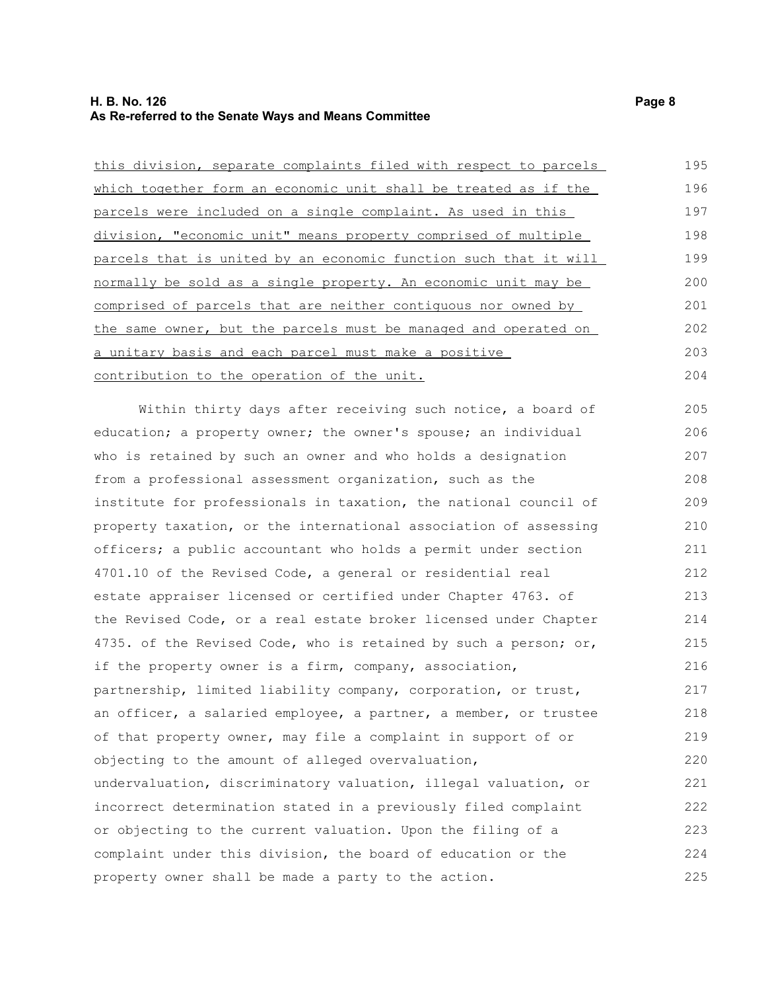### **H. B. No. 126 Page 8 As Re-referred to the Senate Ways and Means Committee**

| this division, separate complaints filed with respect to parcels | 195 |
|------------------------------------------------------------------|-----|
| which together form an economic unit shall be treated as if the  | 196 |
| parcels were included on a single complaint. As used in this     | 197 |
| division, "economic unit" means property comprised of multiple   | 198 |
| parcels that is united by an economic function such that it will | 199 |
| normally be sold as a single property. An economic unit may be   | 200 |
| comprised of parcels that are neither contiguous nor owned by    | 201 |
| the same owner, but the parcels must be managed and operated on  | 202 |
| a unitary basis and each parcel must make a positive             | 203 |
| contribution to the operation of the unit.                       | 204 |
| Within thirty days after receiving such notice, a board of       | 205 |
| education; a property owner; the owner's spouse; an individual   | 206 |
| who is retained by such an owner and who holds a designation     | 207 |
| from a professional assessment organization, such as the         | 208 |
| institute for professionals in taxation, the national council of | 209 |
| property taxation, or the international association of assessing | 210 |
| officers; a public accountant who holds a permit under section   | 211 |
| 4701.10 of the Revised Code, a general or residential real       | 212 |
| estate appraiser licensed or certified under Chapter 4763. of    | 213 |
| the Revised Code, or a real estate broker licensed under Chapter | 214 |
| 4735. of the Revised Code, who is retained by such a person; or, | 215 |
| if the property owner is a firm, company, association,           | 216 |
| partnership, limited liability company, corporation, or trust,   | 217 |
| an officer, a salaried employee, a partner, a member, or trustee | 218 |
| of that property owner, may file a complaint in support of or    | 219 |
| objecting to the amount of alleged overvaluation,                | 220 |
| undervaluation, discriminatory valuation, illegal valuation, or  | 221 |
| incorrect determination stated in a previously filed complaint   | 222 |
| or objecting to the current valuation. Upon the filing of a      | 223 |
| complaint under this division, the board of education or the     | 224 |
| property owner shall be made a party to the action.              | 225 |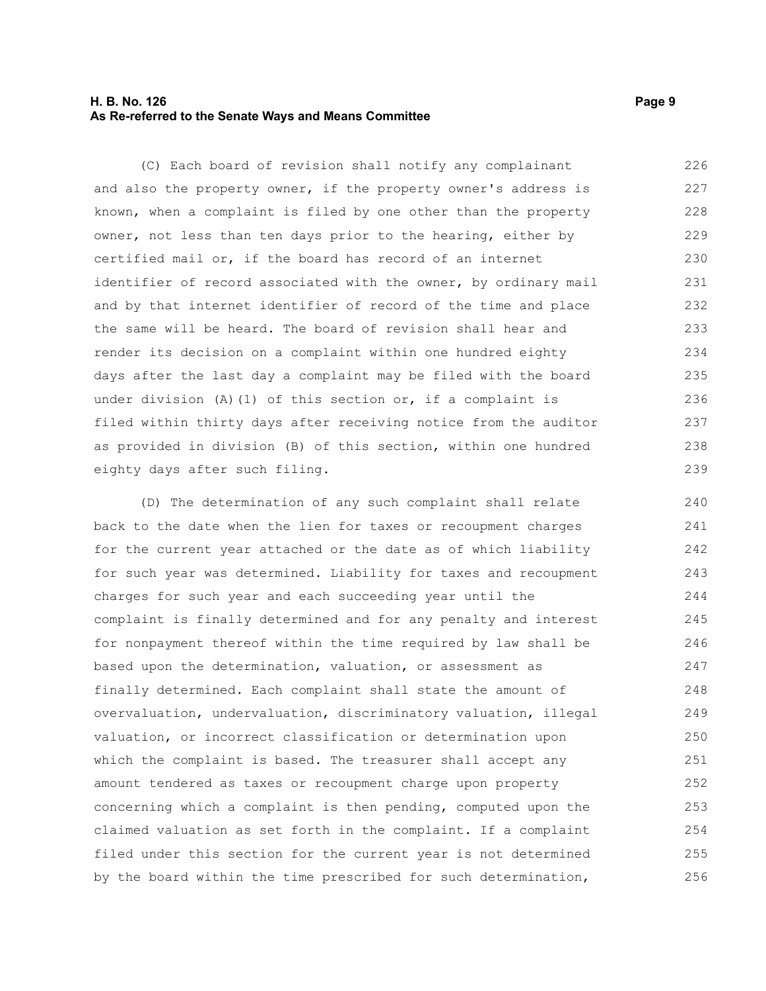#### **H. B. No. 126 Page 9 As Re-referred to the Senate Ways and Means Committee**

(C) Each board of revision shall notify any complainant and also the property owner, if the property owner's address is known, when a complaint is filed by one other than the property owner, not less than ten days prior to the hearing, either by certified mail or, if the board has record of an internet identifier of record associated with the owner, by ordinary mail and by that internet identifier of record of the time and place the same will be heard. The board of revision shall hear and render its decision on a complaint within one hundred eighty days after the last day a complaint may be filed with the board under division (A)(1) of this section or, if a complaint is filed within thirty days after receiving notice from the auditor as provided in division (B) of this section, within one hundred eighty days after such filing. 226 227 228 229 230 231 232 233 234 235 236 237 238 239

(D) The determination of any such complaint shall relate back to the date when the lien for taxes or recoupment charges for the current year attached or the date as of which liability for such year was determined. Liability for taxes and recoupment charges for such year and each succeeding year until the complaint is finally determined and for any penalty and interest for nonpayment thereof within the time required by law shall be based upon the determination, valuation, or assessment as finally determined. Each complaint shall state the amount of overvaluation, undervaluation, discriminatory valuation, illegal valuation, or incorrect classification or determination upon which the complaint is based. The treasurer shall accept any amount tendered as taxes or recoupment charge upon property concerning which a complaint is then pending, computed upon the claimed valuation as set forth in the complaint. If a complaint filed under this section for the current year is not determined by the board within the time prescribed for such determination, 240 241 242 243 244 245 246 247 248 249 250 251 252 253 254 255 256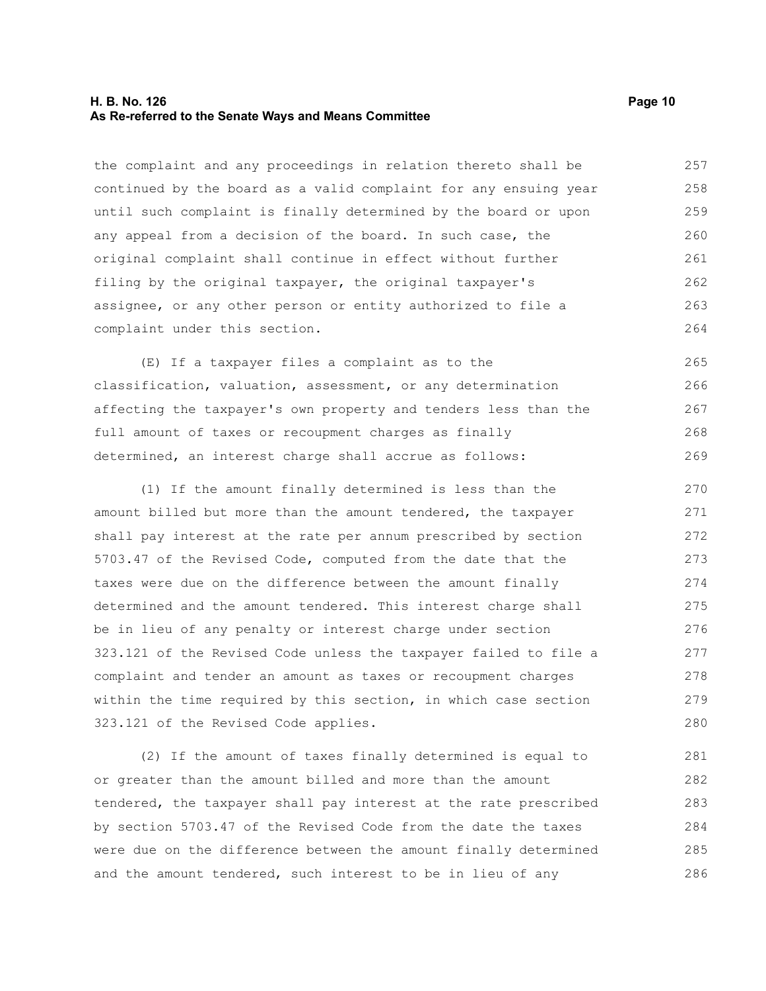#### **H. B. No. 126 Page 10 As Re-referred to the Senate Ways and Means Committee**

the complaint and any proceedings in relation thereto shall be continued by the board as a valid complaint for any ensuing year until such complaint is finally determined by the board or upon any appeal from a decision of the board. In such case, the original complaint shall continue in effect without further filing by the original taxpayer, the original taxpayer's assignee, or any other person or entity authorized to file a complaint under this section. 257 258 259 260 261 262 263 264

(E) If a taxpayer files a complaint as to the classification, valuation, assessment, or any determination affecting the taxpayer's own property and tenders less than the full amount of taxes or recoupment charges as finally determined, an interest charge shall accrue as follows: 265 266 267 268 269

(1) If the amount finally determined is less than the amount billed but more than the amount tendered, the taxpayer shall pay interest at the rate per annum prescribed by section 5703.47 of the Revised Code, computed from the date that the taxes were due on the difference between the amount finally determined and the amount tendered. This interest charge shall be in lieu of any penalty or interest charge under section 323.121 of the Revised Code unless the taxpayer failed to file a complaint and tender an amount as taxes or recoupment charges within the time required by this section, in which case section 323.121 of the Revised Code applies. 270 271 272 273 274 275 276 277 278 279 280

(2) If the amount of taxes finally determined is equal to or greater than the amount billed and more than the amount tendered, the taxpayer shall pay interest at the rate prescribed by section 5703.47 of the Revised Code from the date the taxes were due on the difference between the amount finally determined and the amount tendered, such interest to be in lieu of any 281 282 283 284 285 286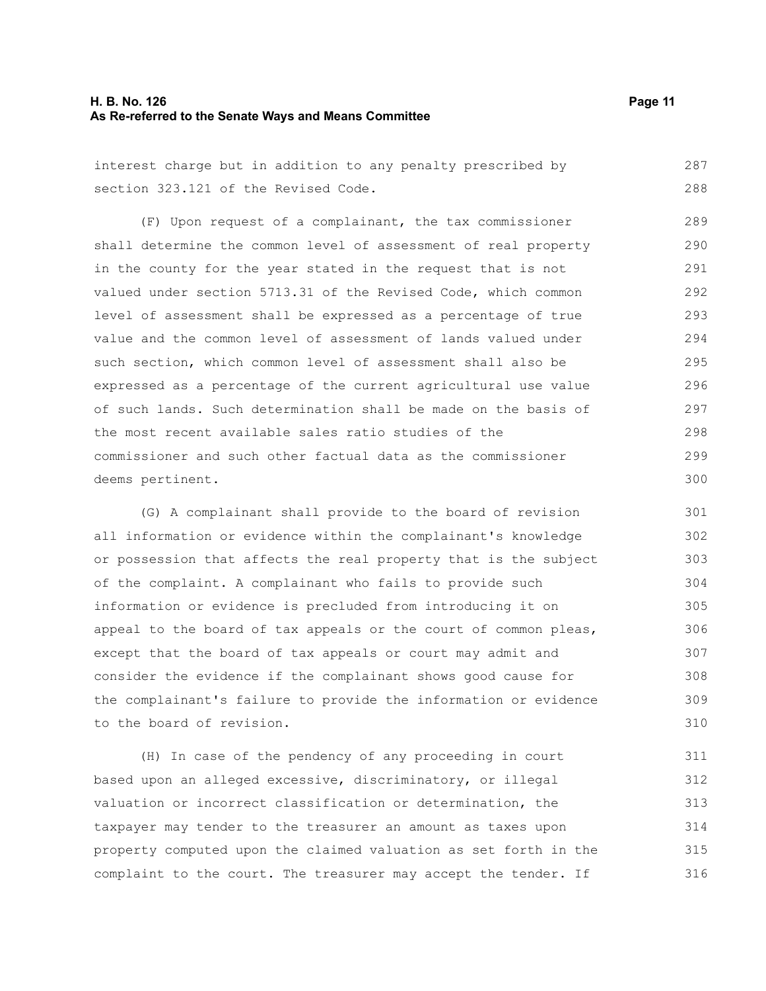#### **H. B. No. 126 Page 11 As Re-referred to the Senate Ways and Means Committee**

interest charge but in addition to any penalty prescribed by section 323.121 of the Revised Code. 287 288

(F) Upon request of a complainant, the tax commissioner shall determine the common level of assessment of real property in the county for the year stated in the request that is not valued under section 5713.31 of the Revised Code, which common level of assessment shall be expressed as a percentage of true value and the common level of assessment of lands valued under such section, which common level of assessment shall also be expressed as a percentage of the current agricultural use value of such lands. Such determination shall be made on the basis of the most recent available sales ratio studies of the commissioner and such other factual data as the commissioner deems pertinent. 289 290 291 292 293 294 295 296 297 298 299 300

(G) A complainant shall provide to the board of revision all information or evidence within the complainant's knowledge or possession that affects the real property that is the subject of the complaint. A complainant who fails to provide such information or evidence is precluded from introducing it on appeal to the board of tax appeals or the court of common pleas, except that the board of tax appeals or court may admit and consider the evidence if the complainant shows good cause for the complainant's failure to provide the information or evidence to the board of revision. 301 302 305 306 307 308 309 310

(H) In case of the pendency of any proceeding in court based upon an alleged excessive, discriminatory, or illegal valuation or incorrect classification or determination, the taxpayer may tender to the treasurer an amount as taxes upon property computed upon the claimed valuation as set forth in the complaint to the court. The treasurer may accept the tender. If 311 312 313 314 315 316

303 304